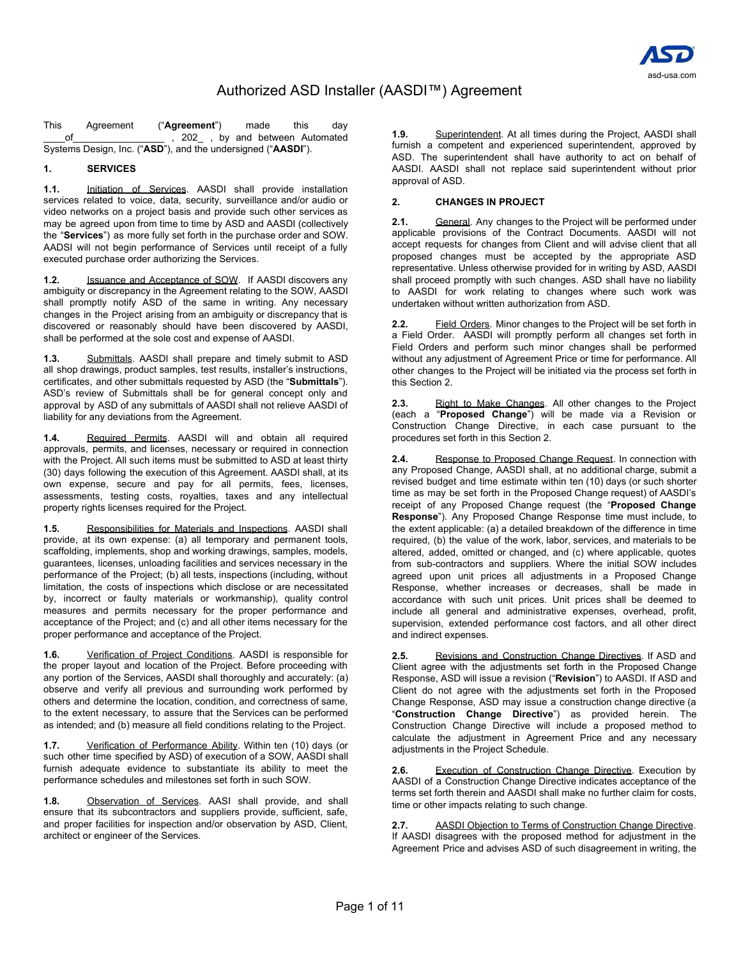

This Agreement ("**Agreement**") made this day \_\_\_\_of\_\_\_\_\_\_\_\_\_\_\_\_\_\_\_\_\_ , 202\_ , by and between Automated Systems Design, Inc. ("**ASD**"), and the undersigned ("**AASDI**").

# **1. SERVICES**

**1.1.** Initiation of Services. AASDI shall provide installation services related to voice, data, security, surveillance and/or audio or video networks on a project basis and provide such other services as may be agreed upon from time to time by ASD and AASDI (collectively the "**Services**") as more fully set forth in the purchase order and SOW. AADSI will not begin performance of Services until receipt of a fully executed purchase order authorizing the Services.

**1.2.** Issuance and Acceptance of SOW. If AASDI discovers any ambiguity or discrepancy in the Agreement relating to the SOW, AASDI shall promptly notify ASD of the same in writing. Any necessary changes in the Project arising from an ambiguity or discrepancy that is discovered or reasonably should have been discovered by AASDI, shall be performed at the sole cost and expense of AASDI.

**1.3.** Submittals. AASDI shall prepare and timely submit to ASD all shop drawings, product samples, test results, installer's instructions, certificates, and other submittals requested by ASD (the "**Submittals**"). ASD's review of Submittals shall be for general concept only and approval by ASD of any submittals of AASDI shall not relieve AASDI of liability for any deviations from the Agreement.

**1.4.** Required Permits. AASDI will and obtain all required approvals, permits, and licenses, necessary or required in connection with the Project. All such items must be submitted to ASD at least thirty (30) days following the execution of this Agreement. AASDI shall, at its own expense, secure and pay for all permits, fees, licenses, assessments, testing costs, royalties, taxes and any intellectual property rights licenses required for the Project.

**1.5.** Responsibilities for Materials and Inspections. AASDI shall provide, at its own expense: (a) all temporary and permanent tools, scaffolding, implements, shop and working drawings, samples, models, guarantees, licenses, unloading facilities and services necessary in the performance of the Project; (b) all tests, inspections (including, without limitation, the costs of inspections which disclose or are necessitated by, incorrect or faulty materials or workmanship), quality control measures and permits necessary for the proper performance and acceptance of the Project; and (c) and all other items necessary for the proper performance and acceptance of the Project.

**1.6.** Verification of Project Conditions. AASDI is responsible for the proper layout and location of the Project. Before proceeding with any portion of the Services, AASDI shall thoroughly and accurately: (a) observe and verify all previous and surrounding work performed by others and determine the location, condition, and correctness of same, to the extent necessary, to assure that the Services can be performed as intended; and (b) measure all field conditions relating to the Project.

**1.7.** Verification of Performance Ability. Within ten (10) days (or such other time specified by ASD) of execution of a SOW, AASDI shall furnish adequate evidence to substantiate its ability to meet the performance schedules and milestones set forth in such SOW.

**1.8.** Observation of Services. AASI shall provide, and shall ensure that its subcontractors and suppliers provide, sufficient, safe, and proper facilities for inspection and/or observation by ASD, Client, architect or engineer of the Services.

**1.9.** Superintendent. At all times during the Project, AASDI shall furnish a competent and experienced superintendent, approved by ASD. The superintendent shall have authority to act on behalf of AASDI. AASDI shall not replace said superintendent without prior approval of ASD.

### **2. CHANGES IN PROJECT**

**2.1.** General. Any changes to the Project will be performed under applicable provisions of the Contract Documents. AASDI will not accept requests for changes from Client and will advise client that all proposed changes must be accepted by the appropriate ASD representative. Unless otherwise provided for in writing by ASD, AASDI shall proceed promptly with such changes. ASD shall have no liability to AASDI for work relating to changes where such work was undertaken without written authorization from ASD.

**2.2.** Field Orders. Minor changes to the Project will be set forth in a Field Order. AASDI will promptly perform all changes set forth in Field Orders and perform such minor changes shall be performed without any adjustment of Agreement Price or time for performance. All other changes to the Project will be initiated via the process set forth in this Section 2.

**2.3.** Right to Make Changes. All other changes to the Project (each a "**Proposed Change**") will be made via a Revision or Construction Change Directive, in each case pursuant to the procedures set forth in this Section 2.

**2.4.** Response to Proposed Change Request. In connection with any Proposed Change, AASDI shall, at no additional charge, submit a revised budget and time estimate within ten (10) days (or such shorter time as may be set forth in the Proposed Change request) of AASDI's receipt of any Proposed Change request (the "**Proposed Change Response**"). Any Proposed Change Response time must include, to the extent applicable: (a) a detailed breakdown of the difference in time required, (b) the value of the work, labor, services, and materials to be altered, added, omitted or changed, and (c) where applicable, quotes from sub-contractors and suppliers. Where the initial SOW includes agreed upon unit prices all adjustments in a Proposed Change Response, whether increases or decreases, shall be made in accordance with such unit prices. Unit prices shall be deemed to include all general and administrative expenses, overhead, profit, supervision, extended performance cost factors, and all other direct and indirect expenses.

**2.5.** Revisions and Construction Change Directives. If ASD and Client agree with the adjustments set forth in the Proposed Change Response, ASD will issue a revision ("**Revision**") to AASDI. If ASD and Client do not agree with the adjustments set forth in the Proposed Change Response, ASD may issue a construction change directive (a "**Construction Change Directive**") as provided herein. The Construction Change Directive will include a proposed method to calculate the adjustment in Agreement Price and any necessary adjustments in the Project Schedule.

**2.6.** Execution of Construction Change Directive. Execution by AASDI of a Construction Change Directive indicates acceptance of the terms set forth therein and AASDI shall make no further claim for costs, time or other impacts relating to such change.

**2.7.** AASDI Objection to Terms of Construction Change Directive. If AASDI disagrees with the proposed method for adjustment in the Agreement Price and advises ASD of such disagreement in writing, the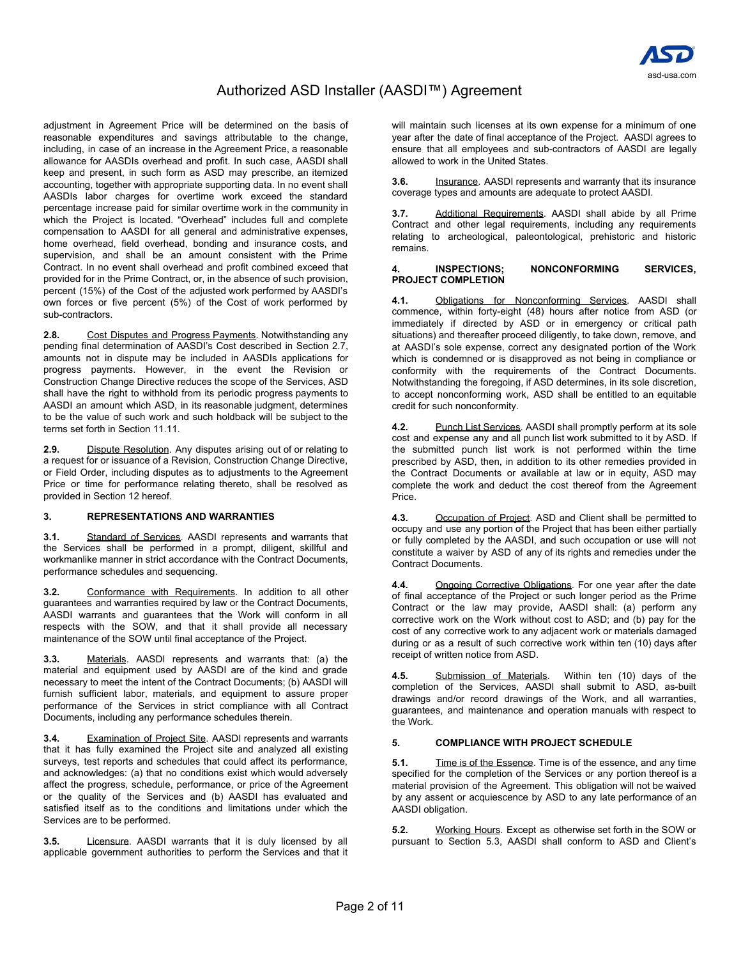

adjustment in Agreement Price will be determined on the basis of reasonable expenditures and savings attributable to the change, including, in case of an increase in the Agreement Price, a reasonable allowance for AASDIs overhead and profit. In such case, AASDI shall keep and present, in such form as ASD may prescribe, an itemized accounting, together with appropriate supporting data. In no event shall AASDIs labor charges for overtime work exceed the standard percentage increase paid for similar overtime work in the community in which the Project is located. "Overhead" includes full and complete compensation to AASDI for all general and administrative expenses, home overhead, field overhead, bonding and insurance costs, and supervision, and shall be an amount consistent with the Prime Contract. In no event shall overhead and profit combined exceed that provided for in the Prime Contract, or, in the absence of such provision, percent (15%) of the Cost of the adjusted work performed by AASDI's own forces or five percent (5%) of the Cost of work performed by sub-contractors.

**2.8.** Cost Disputes and Progress Payments. Notwithstanding any pending final determination of AASDI's Cost described in Section 2.7, amounts not in dispute may be included in AASDIs applications for progress payments. However, in the event the Revision or Construction Change Directive reduces the scope of the Services, ASD shall have the right to withhold from its periodic progress payments to AASDI an amount which ASD, in its reasonable judgment, determines to be the value of such work and such holdback will be subject to the terms set forth in Section 11.11.

**2.9.** Dispute Resolution. Any disputes arising out of or relating to a request for or issuance of a Revision, Construction Change Directive, or Field Order, including disputes as to adjustments to the Agreement Price or time for performance relating thereto, shall be resolved as provided in Section 12 hereof.

# **3. REPRESENTATIONS AND WARRANTIES**

**3.1.** Standard of Services. AASDI represents and warrants that the Services shall be performed in a prompt, diligent, skillful and workmanlike manner in strict accordance with the Contract Documents, performance schedules and sequencing.

**3.2.** Conformance with Requirements. In addition to all other guarantees and warranties required by law or the Contract Documents, AASDI warrants and guarantees that the Work will conform in all respects with the SOW, and that it shall provide all necessary maintenance of the SOW until final acceptance of the Project.

**3.3.** Materials. AASDI represents and warrants that: (a) the material and equipment used by AASDI are of the kind and grade necessary to meet the intent of the Contract Documents; (b) AASDI will furnish sufficient labor, materials, and equipment to assure proper performance of the Services in strict compliance with all Contract Documents, including any performance schedules therein.

**3.4.** Examination of Project Site. AASDI represents and warrants that it has fully examined the Project site and analyzed all existing surveys, test reports and schedules that could affect its performance, and acknowledges: (a) that no conditions exist which would adversely affect the progress, schedule, performance, or price of the Agreement or the quality of the Services and (b) AASDI has evaluated and satisfied itself as to the conditions and limitations under which the Services are to be performed.

Licensure. AASDI warrants that it is duly licensed by all applicable government authorities to perform the Services and that it

will maintain such licenses at its own expense for a minimum of one year after the date of final acceptance of the Project. AASDI agrees to ensure that all employees and sub-contractors of AASDI are legally allowed to work in the United States.

**3.6.** Insurance. AASDI represents and warranty that its insurance coverage types and amounts are adequate to protect AASDI.

**3.7.** Additional Requirements. AASDI shall abide by all Prime Contract and other legal requirements, including any requirements relating to archeological, paleontological, prehistoric and historic remains.

#### **4. INSPECTIONS; NONCONFORMING SERVICES, PROJECT COMPLETION**

**4.1.** Obligations for Nonconforming Services. AASDI shall commence, within forty-eight (48) hours after notice from ASD (or immediately if directed by ASD or in emergency or critical path situations) and thereafter proceed diligently, to take down, remove, and at AASDI's sole expense, correct any designated portion of the Work which is condemned or is disapproved as not being in compliance or conformity with the requirements of the Contract Documents. Notwithstanding the foregoing, if ASD determines, in its sole discretion, to accept nonconforming work, ASD shall be entitled to an equitable credit for such nonconformity.

**4.2.** Punch List Services. AASDI shall promptly perform at its sole cost and expense any and all punch list work submitted to it by ASD. If the submitted punch list work is not performed within the time prescribed by ASD, then, in addition to its other remedies provided in the Contract Documents or available at law or in equity, ASD may complete the work and deduct the cost thereof from the Agreement Price.

**4.3.** Occupation of Project. ASD and Client shall be permitted to occupy and use any portion of the Project that has been either partially or fully completed by the AASDI, and such occupation or use will not constitute a waiver by ASD of any of its rights and remedies under the Contract Documents.

**4.4.** Ongoing Corrective Obligations. For one year after the date of final acceptance of the Project or such longer period as the Prime Contract or the law may provide, AASDI shall: (a) perform any corrective work on the Work without cost to ASD; and (b) pay for the cost of any corrective work to any adjacent work or materials damaged during or as a result of such corrective work within ten (10) days after receipt of written notice from ASD.

**4.5.** Submission of Materials. Within ten (10) days of the completion of the Services, AASDI shall submit to ASD, as-built drawings and/or record drawings of the Work, and all warranties, guarantees, and maintenance and operation manuals with respect to the Work.

### **5. COMPLIANCE WITH PROJECT SCHEDULE**

**5.1.** Time is of the Essence. Time is of the essence, and any time specified for the completion of the Services or any portion thereof is a material provision of the Agreement. This obligation will not be waived by any assent or acquiescence by ASD to any late performance of an AASDI obligation.

**5.2.** Working Hours. Except as otherwise set forth in the SOW or pursuant to Section 5.3, AASDI shall conform to ASD and Client's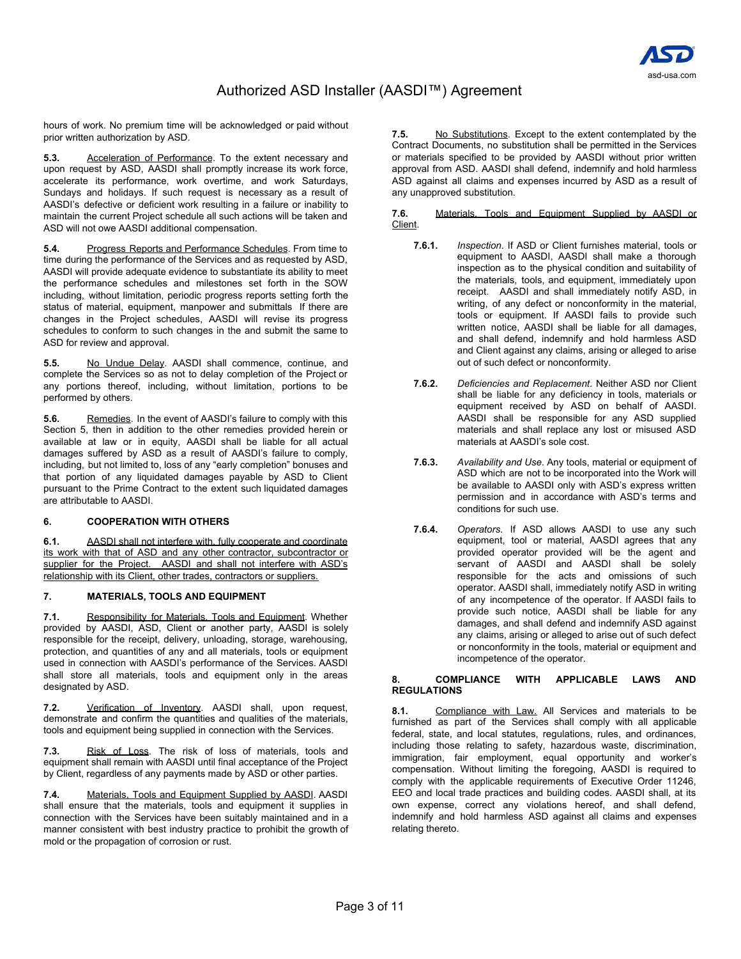

hours of work. No premium time will be acknowledged or paid without prior written authorization by ASD.

**5.3.** Acceleration of Performance. To the extent necessary and upon request by ASD, AASDI shall promptly increase its work force, accelerate its performance, work overtime, and work Saturdays, Sundays and holidays. If such request is necessary as a result of AASDI's defective or deficient work resulting in a failure or inability to maintain the current Project schedule all such actions will be taken and ASD will not owe AASDI additional compensation.

**5.4.** Progress Reports and Performance Schedules. From time to time during the performance of the Services and as requested by ASD, AASDI will provide adequate evidence to substantiate its ability to meet the performance schedules and milestones set forth in the SOW including, without limitation, periodic progress reports setting forth the status of material, equipment, manpower and submittals If there are changes in the Project schedules, AASDI will revise its progress schedules to conform to such changes in the and submit the same to ASD for review and approval.

**5.5.** No Undue Delay. AASDI shall commence, continue, and complete the Services so as not to delay completion of the Project or any portions thereof, including, without limitation, portions to be performed by others.

**5.6.** Remedies. In the event of AASDI's failure to comply with this Section 5, then in addition to the other remedies provided herein or available at law or in equity, AASDI shall be liable for all actual damages suffered by ASD as a result of AASDI's failure to comply, including, but not limited to, loss of any "early completion" bonuses and that portion of any liquidated damages payable by ASD to Client pursuant to the Prime Contract to the extent such liquidated damages are attributable to AASDI.

### **6. COOPERATION WITH OTHERS**

**6.1.** AASDI shall not interfere with, fully cooperate and coordinate its work with that of ASD and any other contractor, subcontractor or supplier for the Project. AASDI and shall not interfere with ASD's relationship with its Client, other trades, contractors or suppliers.

# **7. MATERIALS, TOOLS AND EQUIPMENT**

**7.1.** Responsibility for Materials, Tools and Equipment. Whether provided by AASDI, ASD, Client or another party, AASDI is solely responsible for the receipt, delivery, unloading, storage, warehousing, protection, and quantities of any and all materials, tools or equipment used in connection with AASDI's performance of the Services. AASDI shall store all materials, tools and equipment only in the areas designated by ASD.

**7.2.** Verification of Inventory. AASDI shall, upon request, demonstrate and confirm the quantities and qualities of the materials, tools and equipment being supplied in connection with the Services.

**7.3.** Risk of Loss. The risk of loss of materials, tools and equipment shall remain with AASDI until final acceptance of the Project by Client, regardless of any payments made by ASD or other parties.

**7.4.** Materials, Tools and Equipment Supplied by AASDI. AASDI shall ensure that the materials, tools and equipment it supplies in connection with the Services have been suitably maintained and in a manner consistent with best industry practice to prohibit the growth of mold or the propagation of corrosion or rust.

**7.5.** No Substitutions. Except to the extent contemplated by the Contract Documents, no substitution shall be permitted in the Services or materials specified to be provided by AASDI without prior written approval from ASD. AASDI shall defend, indemnify and hold harmless ASD against all claims and expenses incurred by ASD as a result of any unapproved substitution.

**7.6.** Materials, Tools and Equipment Supplied by AASDI or Client.

- **7.6.1.** *Inspection*. If ASD or Client furnishes material, tools or equipment to AASDI, AASDI shall make a thorough inspection as to the physical condition and suitability of the materials, tools, and equipment, immediately upon receipt. AASDI and shall immediately notify ASD, in writing, of any defect or nonconformity in the material, tools or equipment. If AASDI fails to provide such written notice, AASDI shall be liable for all damages, and shall defend, indemnify and hold harmless ASD and Client against any claims, arising or alleged to arise out of such defect or nonconformity.
- **7.6.2.** *Deficiencies and Replacement*. Neither ASD nor Client shall be liable for any deficiency in tools, materials or equipment received by ASD on behalf of AASDI. AASDI shall be responsible for any ASD supplied materials and shall replace any lost or misused ASD materials at AASDI's sole cost.
- **7.6.3.** *Availability and Use*. Any tools, material or equipment of ASD which are not to be incorporated into the Work will be available to AASDI only with ASD's express written permission and in accordance with ASD's terms and conditions for such use.
- **7.6.4.** *Operators*. If ASD allows AASDI to use any such equipment, tool or material, AASDI agrees that any provided operator provided will be the agent and servant of AASDI and AASDI shall be solely responsible for the acts and omissions of such operator. AASDI shall, immediately notify ASD in writing of any incompetence of the operator. If AASDI fails to provide such notice, AASDI shall be liable for any damages, and shall defend and indemnify ASD against any claims, arising or alleged to arise out of such defect or nonconformity in the tools, material or equipment and incompetence of the operator.

### **8. COMPLIANCE WITH APPLICABLE LAWS AND REGULATIONS**

**8.1.** Compliance with Law. All Services and materials to be furnished as part of the Services shall comply with all applicable federal, state, and local statutes, regulations, rules, and ordinances, including those relating to safety, hazardous waste, discrimination, immigration, fair employment, equal opportunity and worker's compensation. Without limiting the foregoing, AASDI is required to comply with the applicable requirements of Executive Order 11246, EEO and local trade practices and building codes. AASDI shall, at its own expense, correct any violations hereof, and shall defend, indemnify and hold harmless ASD against all claims and expenses relating thereto.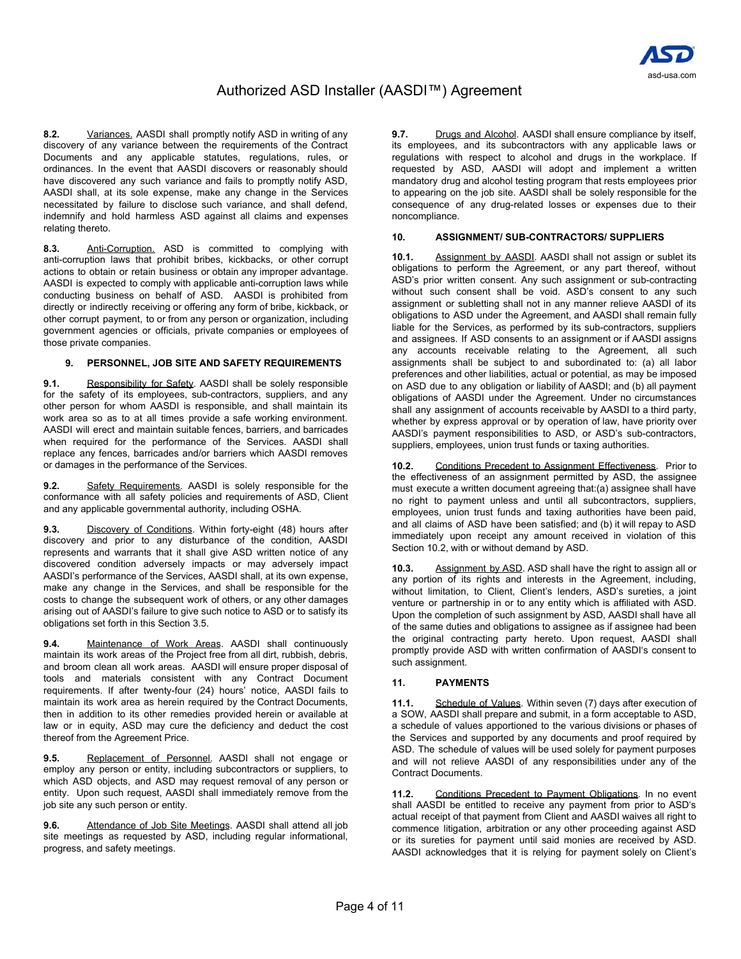

**8.2.** Variances. AASDI shall promptly notify ASD in writing of any discovery of any variance between the requirements of the Contract Documents and any applicable statutes, regulations, rules, or ordinances. In the event that AASDI discovers or reasonably should have discovered any such variance and fails to promptly notify ASD, AASDI shall, at its sole expense, make any change in the Services necessitated by failure to disclose such variance, and shall defend, indemnify and hold harmless ASD against all claims and expenses relating thereto.

**8.3.** Anti-Corruption. ASD is committed to complying with anti-corruption laws that prohibit bribes, kickbacks, or other corrupt actions to obtain or retain business or obtain any improper advantage. AASDI is expected to comply with applicable anti-corruption laws while conducting business on behalf of ASD. AASDI is prohibited from directly or indirectly receiving or offering any form of bribe, kickback, or other corrupt payment, to or from any person or organization, including government agencies or officials, private companies or employees of those private companies.

#### **9. PERSONNEL, JOB SITE AND SAFETY REQUIREMENTS**

**9.1.** Responsibility for Safety. AASDI shall be solely responsible for the safety of its employees, sub-contractors, suppliers, and any other person for whom AASDI is responsible, and shall maintain its work area so as to at all times provide a safe working environment. AASDI will erect and maintain suitable fences, barriers, and barricades when required for the performance of the Services. AASDI shall replace any fences, barricades and/or barriers which AASDI removes or damages in the performance of the Services.

**9.2.** Safety Requirements. AASDI is solely responsible for the conformance with all safety policies and requirements of ASD, Client and any applicable governmental authority, including OSHA.

**9.3.** Discovery of Conditions. Within forty-eight (48) hours after discovery and prior to any disturbance of the condition, AASDI represents and warrants that it shall give ASD written notice of any discovered condition adversely impacts or may adversely impact AASDI's performance of the Services, AASDI shall, at its own expense, make any change in the Services, and shall be responsible for the costs to change the subsequent work of others, or any other damages arising out of AASDI's failure to give such notice to ASD or to satisfy its obligations set forth in this Section 3.5.

**9.4.** Maintenance of Work Areas. AASDI shall continuously maintain its work areas of the Project free from all dirt, rubbish, debris, and broom clean all work areas. AASDI will ensure proper disposal of tools and materials consistent with any Contract Document requirements. If after twenty-four (24) hours' notice, AASDI fails to maintain its work area as herein required by the Contract Documents, then in addition to its other remedies provided herein or available at law or in equity, ASD may cure the deficiency and deduct the cost thereof from the Agreement Price.

**9.5.** Replacement of Personnel. AASDI shall not engage or employ any person or entity, including subcontractors or suppliers, to which ASD objects, and ASD may request removal of any person or entity. Upon such request, AASDI shall immediately remove from the job site any such person or entity.

**9.6.** Attendance of Job Site Meetings. AASDI shall attend all job site meetings as requested by ASD, including regular informational, progress, and safety meetings.

**9.7.** Drugs and Alcohol. AASDI shall ensure compliance by itself, its employees, and its subcontractors with any applicable laws or regulations with respect to alcohol and drugs in the workplace. If requested by ASD, AASDI will adopt and implement a written mandatory drug and alcohol testing program that rests employees prior to appearing on the job site. AASDI shall be solely responsible for the consequence of any drug-related losses or expenses due to their noncompliance.

### **10. ASSIGNMENT/ SUB-CONTRACTORS/ SUPPLIERS**

**10.1.** Assignment by AASDI. AASDI shall not assign or sublet its obligations to perform the Agreement, or any part thereof, without ASD's prior written consent. Any such assignment or sub-contracting without such consent shall be void. ASD's consent to any such assignment or subletting shall not in any manner relieve AASDI of its obligations to ASD under the Agreement, and AASDI shall remain fully liable for the Services, as performed by its sub-contractors, suppliers and assignees. If ASD consents to an assignment or if AASDI assigns any accounts receivable relating to the Agreement, all such assignments shall be subject to and subordinated to: (a) all labor preferences and other liabilities, actual or potential, as may be imposed on ASD due to any obligation or liability of AASDI; and (b) all payment obligations of AASDI under the Agreement. Under no circumstances shall any assignment of accounts receivable by AASDI to a third party, whether by express approval or by operation of law, have priority over AASDI's payment responsibilities to ASD, or ASD's sub-contractors, suppliers, employees, union trust funds or taxing authorities.

**10.2.** Conditions Precedent to Assignment Effectiveness. Prior to the effectiveness of an assignment permitted by ASD, the assignee must execute a written document agreeing that:(a) assignee shall have no right to payment unless and until all subcontractors, suppliers, employees, union trust funds and taxing authorities have been paid, and all claims of ASD have been satisfied; and (b) it will repay to ASD immediately upon receipt any amount received in violation of this Section 10.2, with or without demand by ASD.

**10.3.** Assignment by ASD. ASD shall have the right to assign all or any portion of its rights and interests in the Agreement, including, without limitation, to Client, Client's lenders, ASD's sureties, a joint venture or partnership in or to any entity which is affiliated with ASD. Upon the completion of such assignment by ASD, AASDI shall have all of the same duties and obligations to assignee as if assignee had been the original contracting party hereto. Upon request, AASDI shall promptly provide ASD with written confirmation of AASDI's consent to such assignment.

### **11. PAYMENTS**

**11.1.** Schedule of Values. Within seven (7) days after execution of a SOW, AASDI shall prepare and submit, in a form acceptable to ASD, a schedule of values apportioned to the various divisions or phases of the Services and supported by any documents and proof required by ASD. The schedule of values will be used solely for payment purposes and will not relieve AASDI of any responsibilities under any of the Contract Documents.

**11.2.** Conditions Precedent to Payment Obligations. In no event shall AASDI be entitled to receive any payment from prior to ASD's actual receipt of that payment from Client and AASDI waives all right to commence litigation, arbitration or any other proceeding against ASD or its sureties for payment until said monies are received by ASD. AASDI acknowledges that it is relying for payment solely on Client's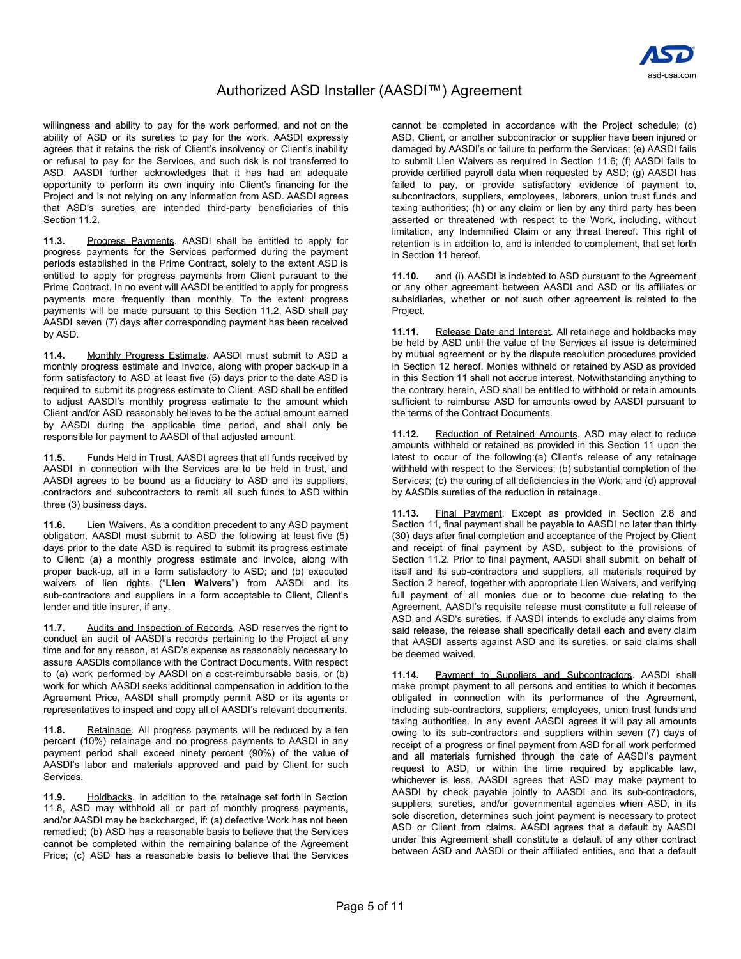

willingness and ability to pay for the work performed, and not on the ability of ASD or its sureties to pay for the work. AASDI expressly agrees that it retains the risk of Client's insolvency or Client's inability or refusal to pay for the Services, and such risk is not transferred to ASD. AASDI further acknowledges that it has had an adequate opportunity to perform its own inquiry into Client's financing for the Project and is not relying on any information from ASD. AASDI agrees that ASD's sureties are intended third-party beneficiaries of this Section 11.2.

**11.3.** Progress Payments. AASDI shall be entitled to apply for progress payments for the Services performed during the payment periods established in the Prime Contract, solely to the extent ASD is entitled to apply for progress payments from Client pursuant to the Prime Contract. In no event will AASDI be entitled to apply for progress payments more frequently than monthly. To the extent progress payments will be made pursuant to this Section 11.2, ASD shall pay AASDI seven (7) days after corresponding payment has been received by ASD.

**11.4.** Monthly Progress Estimate. AASDI must submit to ASD a monthly progress estimate and invoice, along with proper back-up in a form satisfactory to ASD at least five (5) days prior to the date ASD is required to submit its progress estimate to Client. ASD shall be entitled to adjust AASDI's monthly progress estimate to the amount which Client and/or ASD reasonably believes to be the actual amount earned by AASDI during the applicable time period, and shall only be responsible for payment to AASDI of that adjusted amount.

**11.5.** Funds Held in Trust. AASDI agrees that all funds received by AASDI in connection with the Services are to be held in trust, and AASDI agrees to be bound as a fiduciary to ASD and its suppliers, contractors and subcontractors to remit all such funds to ASD within three (3) business days.

**11.6.** Lien Waivers. As a condition precedent to any ASD payment obligation, AASDI must submit to ASD the following at least five (5) days prior to the date ASD is required to submit its progress estimate to Client: (a) a monthly progress estimate and invoice, along with proper back-up, all in a form satisfactory to ASD; and (b) executed waivers of lien rights ("**Lien Waivers**") from AASDI and its sub-contractors and suppliers in a form acceptable to Client, Client's lender and title insurer, if any.

**11.7.** Audits and Inspection of Records. ASD reserves the right to conduct an audit of AASDI's records pertaining to the Project at any time and for any reason, at ASD's expense as reasonably necessary to assure AASDIs compliance with the Contract Documents. With respect to (a) work performed by AASDI on a cost-reimbursable basis, or (b) work for which AASDI seeks additional compensation in addition to the Agreement Price, AASDI shall promptly permit ASD or its agents or representatives to inspect and copy all of AASDI's relevant documents.

**11.8.** Retainage. All progress payments will be reduced by a ten percent (10%) retainage and no progress payments to AASDI in any payment period shall exceed ninety percent (90%) of the value of AASDI's labor and materials approved and paid by Client for such Services.

**11.9.** Holdbacks. In addition to the retainage set forth in Section 11.8, ASD may withhold all or part of monthly progress payments, and/or AASDI may be backcharged, if: (a) defective Work has not been remedied; (b) ASD has a reasonable basis to believe that the Services cannot be completed within the remaining balance of the Agreement Price; (c) ASD has a reasonable basis to believe that the Services

cannot be completed in accordance with the Project schedule; (d) ASD, Client, or another subcontractor or supplier have been injured or damaged by AASDI's or failure to perform the Services; (e) AASDI fails to submit Lien Waivers as required in Section 11.6; (f) AASDI fails to provide certified payroll data when requested by ASD; (g) AASDI has failed to pay, or provide satisfactory evidence of payment to, subcontractors, suppliers, employees, laborers, union trust funds and taxing authorities; (h) or any claim or lien by any third party has been asserted or threatened with respect to the Work, including, without limitation, any Indemnified Claim or any threat thereof. This right of retention is in addition to, and is intended to complement, that set forth in Section 11 hereof.

**11.10.** and (i) AASDI is indebted to ASD pursuant to the Agreement or any other agreement between AASDI and ASD or its affiliates or subsidiaries, whether or not such other agreement is related to the Project.

**11.11.** Release Date and Interest. All retainage and holdbacks may be held by ASD until the value of the Services at issue is determined by mutual agreement or by the dispute resolution procedures provided in Section 12 hereof. Monies withheld or retained by ASD as provided in this Section 11 shall not accrue interest. Notwithstanding anything to the contrary herein, ASD shall be entitled to withhold or retain amounts sufficient to reimburse ASD for amounts owed by AASDI pursuant to the terms of the Contract Documents.

Reduction of Retained Amounts. ASD may elect to reduce amounts withheld or retained as provided in this Section 11 upon the latest to occur of the following:(a) Client's release of any retainage withheld with respect to the Services; (b) substantial completion of the Services; (c) the curing of all deficiencies in the Work; and (d) approval by AASDIs sureties of the reduction in retainage.

**11.13.** Final Payment. Except as provided in Section 2.8 and Section 11, final payment shall be payable to AASDI no later than thirty (30) days after final completion and acceptance of the Project by Client and receipt of final payment by ASD, subject to the provisions of Section 11.2. Prior to final payment, AASDI shall submit, on behalf of itself and its sub-contractors and suppliers, all materials required by Section 2 hereof, together with appropriate Lien Waivers, and verifying full payment of all monies due or to become due relating to the Agreement. AASDI's requisite release must constitute a full release of ASD and ASD's sureties. If AASDI intends to exclude any claims from said release, the release shall specifically detail each and every claim that AASDI asserts against ASD and its sureties, or said claims shall be deemed waived.

**11.14.** Payment to Suppliers and Subcontractors. AASDI shall make prompt payment to all persons and entities to which it becomes obligated in connection with its performance of the Agreement, including sub-contractors, suppliers, employees, union trust funds and taxing authorities. In any event AASDI agrees it will pay all amounts owing to its sub-contractors and suppliers within seven (7) days of receipt of a progress or final payment from ASD for all work performed and all materials furnished through the date of AASDI's payment request to ASD, or within the time required by applicable law, whichever is less. AASDI agrees that ASD may make payment to AASDI by check payable jointly to AASDI and its sub-contractors, suppliers, sureties, and/or governmental agencies when ASD, in its sole discretion, determines such joint payment is necessary to protect ASD or Client from claims. AASDI agrees that a default by AASDI under this Agreement shall constitute a default of any other contract between ASD and AASDI or their affiliated entities, and that a default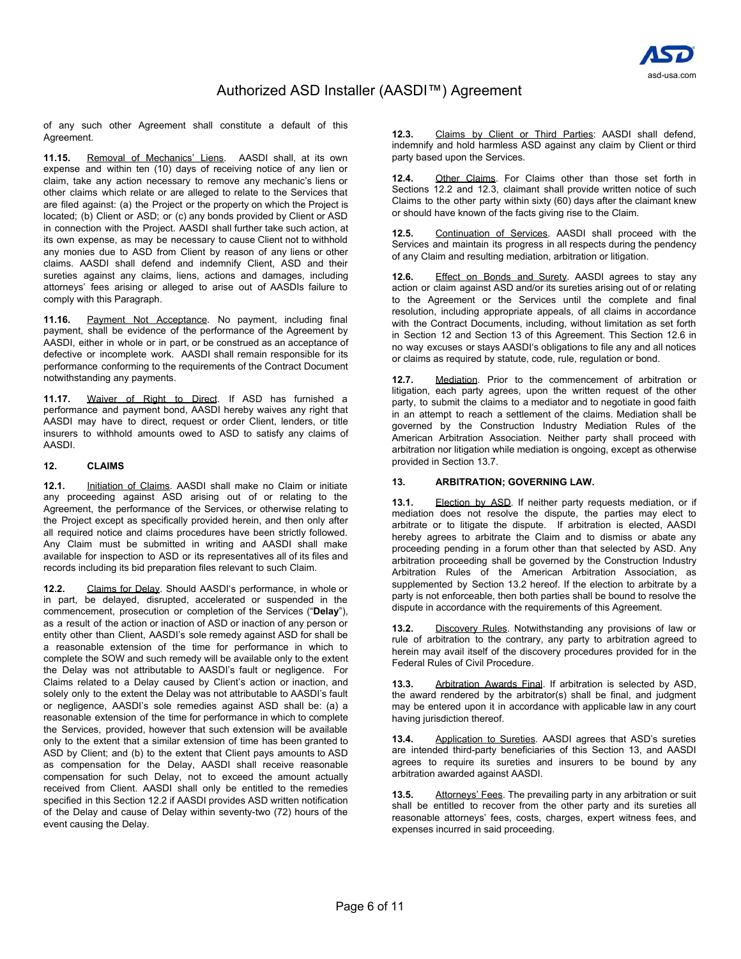of any such other Agreement shall constitute a default of this Agreement.

**11.15.** Removal of Mechanics' Liens. AASDI shall, at its own expense and within ten (10) days of receiving notice of any lien or claim, take any action necessary to remove any mechanic's liens or other claims which relate or are alleged to relate to the Services that are filed against: (a) the Project or the property on which the Project is located; (b) Client or ASD; or (c) any bonds provided by Client or ASD in connection with the Project. AASDI shall further take such action, at its own expense, as may be necessary to cause Client not to withhold any monies due to ASD from Client by reason of any liens or other claims. AASDI shall defend and indemnify Client, ASD and their sureties against any claims, liens, actions and damages, including attorneys' fees arising or alleged to arise out of AASDIs failure to comply with this Paragraph.

**11.16.** Payment Not Acceptance. No payment, including final payment, shall be evidence of the performance of the Agreement by AASDI, either in whole or in part, or be construed as an acceptance of defective or incomplete work. AASDI shall remain responsible for its performance conforming to the requirements of the Contract Document notwithstanding any payments.

**11.17.** Waiver of Right to Direct. If ASD has furnished a performance and payment bond, AASDI hereby waives any right that AASDI may have to direct, request or order Client, lenders, or title insurers to withhold amounts owed to ASD to satisfy any claims of AASDI.

### **12. CLAIMS**

**12.1.** Initiation of Claims. AASDI shall make no Claim or initiate any proceeding against ASD arising out of or relating to the Agreement, the performance of the Services, or otherwise relating to the Project except as specifically provided herein, and then only after all required notice and claims procedures have been strictly followed. Any Claim must be submitted in writing and AASDI shall make available for inspection to ASD or its representatives all of its files and records including its bid preparation files relevant to such Claim.

**12.2.** Claims for Delay. Should AASDI's performance, in whole or in part, be delayed, disrupted, accelerated or suspended in the commencement, prosecution or completion of the Services ("**Delay**"), as a result of the action or inaction of ASD or inaction of any person or entity other than Client, AASDI's sole remedy against ASD for shall be a reasonable extension of the time for performance in which to complete the SOW and such remedy will be available only to the extent the Delay was not attributable to AASDI's fault or negligence. For Claims related to a Delay caused by Client's action or inaction, and solely only to the extent the Delay was not attributable to AASDI's fault or negligence, AASDI's sole remedies against ASD shall be: (a) a reasonable extension of the time for performance in which to complete the Services, provided, however that such extension will be available only to the extent that a similar extension of time has been granted to ASD by Client; and (b) to the extent that Client pays amounts to ASD as compensation for the Delay, AASDI shall receive reasonable compensation for such Delay, not to exceed the amount actually received from Client. AASDI shall only be entitled to the remedies specified in this Section 12.2 if AASDI provides ASD written notification of the Delay and cause of Delay within seventy-two (72) hours of the event causing the Delay.

**12.3.** Claims by Client or Third Parties: AASDI shall defend, indemnify and hold harmless ASD against any claim by Client or third party based upon the Services.

**12.4.** Other Claims. For Claims other than those set forth in Sections 12.2 and 12.3, claimant shall provide written notice of such Claims to the other party within sixty (60) days after the claimant knew or should have known of the facts giving rise to the Claim.

**12.5.** Continuation of Services. AASDI shall proceed with the Services and maintain its progress in all respects during the pendency of any Claim and resulting mediation, arbitration or litigation.

**12.6.** Effect on Bonds and Surety. AASDI agrees to stay any action or claim against ASD and/or its sureties arising out of or relating to the Agreement or the Services until the complete and final resolution, including appropriate appeals, of all claims in accordance with the Contract Documents, including, without limitation as set forth in Section 12 and Section 13 of this Agreement. This Section 12.6 in no way excuses or stays AASDI's obligations to file any and all notices or claims as required by statute, code, rule, regulation or bond.

**12.7.** Mediation. Prior to the commencement of arbitration or litigation, each party agrees, upon the written request of the other party, to submit the claims to a mediator and to negotiate in good faith in an attempt to reach a settlement of the claims. Mediation shall be governed by the Construction Industry Mediation Rules of the American Arbitration Association. Neither party shall proceed with arbitration nor litigation while mediation is ongoing, except as otherwise provided in Section 13.7.

# **13. ARBITRATION; GOVERNING LAW.**

**13.1.** Election by ASD. If neither party requests mediation, or if mediation does not resolve the dispute, the parties may elect to arbitrate or to litigate the dispute. If arbitration is elected, AASDI hereby agrees to arbitrate the Claim and to dismiss or abate any proceeding pending in a forum other than that selected by ASD. Any arbitration proceeding shall be governed by the Construction Industry Arbitration Rules of the American Arbitration Association, as supplemented by Section 13.2 hereof. If the election to arbitrate by a party is not enforceable, then both parties shall be bound to resolve the dispute in accordance with the requirements of this Agreement.

**13.2.** Discovery Rules. Notwithstanding any provisions of law or rule of arbitration to the contrary, any party to arbitration agreed to herein may avail itself of the discovery procedures provided for in the Federal Rules of Civil Procedure.

**13.3.** Arbitration Awards Final. If arbitration is selected by ASD, the award rendered by the arbitrator(s) shall be final, and judgment may be entered upon it in accordance with applicable law in any court having jurisdiction thereof.

**13.4.** Application to Sureties. AASDI agrees that ASD's sureties are intended third-party beneficiaries of this Section 13, and AASDI agrees to require its sureties and insurers to be bound by any arbitration awarded against AASDI.

**13.5.** Attorneys' Fees. The prevailing party in any arbitration or suit shall be entitled to recover from the other party and its sureties all reasonable attorneys' fees, costs, charges, expert witness fees, and expenses incurred in said proceeding.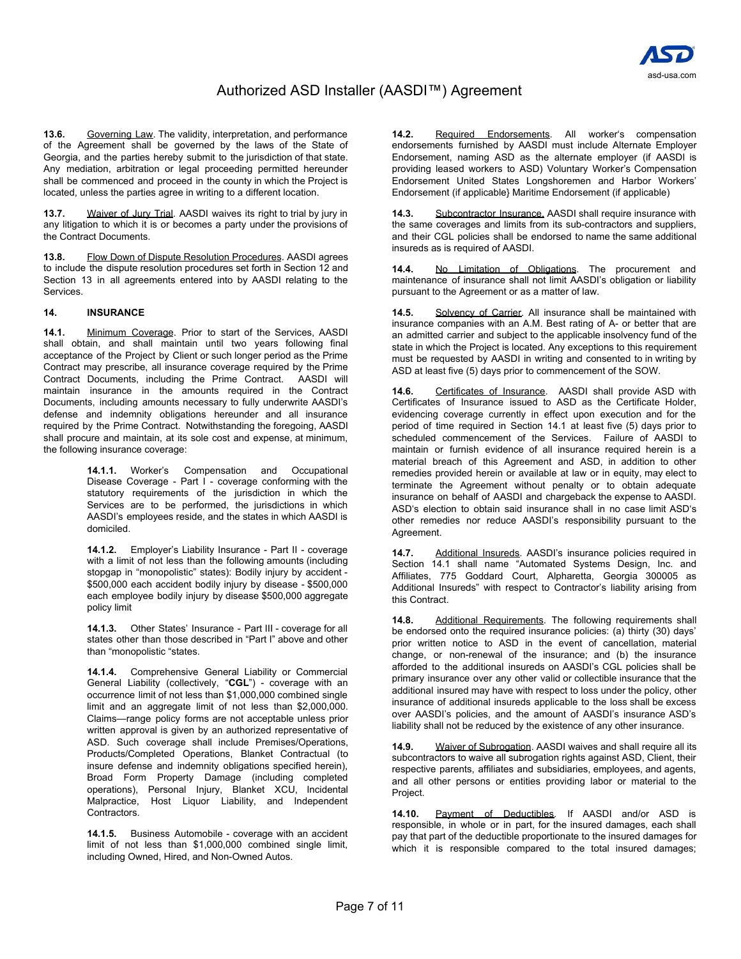

**13.6.** Governing Law. The validity, interpretation, and performance of the Agreement shall be governed by the laws of the State of Georgia, and the parties hereby submit to the jurisdiction of that state. Any mediation, arbitration or legal proceeding permitted hereunder shall be commenced and proceed in the county in which the Project is located, unless the parties agree in writing to a different location.

**13.7.** Waiver of Jury Trial. AASDI waives its right to trial by jury in any litigation to which it is or becomes a party under the provisions of the Contract Documents.

**13.8.** Flow Down of Dispute Resolution Procedures. AASDI agrees to include the dispute resolution procedures set forth in Section 12 and Section 13 in all agreements entered into by AASDI relating to the Services.

### **14. INSURANCE**

**14.1.** Minimum Coverage. Prior to start of the Services, AASDI shall obtain, and shall maintain until two years following final acceptance of the Project by Client or such longer period as the Prime Contract may prescribe, all insurance coverage required by the Prime Contract Documents, including the Prime Contract. AASDI will maintain insurance in the amounts required in the Contract Documents, including amounts necessary to fully underwrite AASDI's defense and indemnity obligations hereunder and all insurance required by the Prime Contract. Notwithstanding the foregoing, AASDI shall procure and maintain, at its sole cost and expense, at minimum, the following insurance coverage:

> **14.1.1.** Worker's Compensation and Occupational Disease Coverage - Part I - coverage conforming with the statutory requirements of the jurisdiction in which the Services are to be performed, the jurisdictions in which AASDI's employees reside, and the states in which AASDI is domiciled.

> **14.1.2.** Employer's Liability Insurance - Part II - coverage with a limit of not less than the following amounts (including stopgap in "monopolistic" states): Bodily injury by accident - \$500,000 each accident bodily injury by disease - \$500,000 each employee bodily injury by disease \$500,000 aggregate policy limit

> **14.1.3.** Other States' Insurance - Part III - coverage for all states other than those described in "Part I" above and other than "monopolistic "states.

> **14.1.4.** Comprehensive General Liability or Commercial General Liability (collectively, "**CGL**") - coverage with an occurrence limit of not less than \$1,000,000 combined single limit and an aggregate limit of not less than \$2,000,000. Claims—range policy forms are not acceptable unless prior written approval is given by an authorized representative of ASD. Such coverage shall include Premises/Operations, Products/Completed Operations, Blanket Contractual (to insure defense and indemnity obligations specified herein), Broad Form Property Damage (including completed operations), Personal Injury, Blanket XCU, Incidental Malpractice, Host Liquor Liability, and Independent Contractors.

**14.1.5.** Business Automobile - coverage with an accident limit of not less than \$1,000,000 combined single limit, including Owned, Hired, and Non-Owned Autos.

14.2. Required Endorsements. All worker's compensation endorsements furnished by AASDI must include Alternate Employer Endorsement, naming ASD as the alternate employer (if AASDI is providing leased workers to ASD) Voluntary Worker's Compensation Endorsement United States Longshoremen and Harbor Workers' Endorsement (if applicable} Maritime Endorsement (if applicable)

**14.3.** Subcontractor Insurance. AASDI shall require insurance with the same coverages and limits from its sub-contractors and suppliers, and their CGL policies shall be endorsed to name the same additional insureds as is required of AASDI.

**14.4.** No Limitation of Obligations. The procurement and maintenance of insurance shall not limit AASDI's obligation or liability pursuant to the Agreement or as a matter of law.

**14.5.** Solvency of Carrier. All insurance shall be maintained with insurance companies with an A.M. Best rating of A- or better that are an admitted carrier and subject to the applicable insolvency fund of the state in which the Project is located. Any exceptions to this requirement must be requested by AASDI in writing and consented to in writing by ASD at least five (5) days prior to commencement of the SOW.

**14.6.** Certificates of Insurance. AASDI shall provide ASD with Certificates of Insurance issued to ASD as the Certificate Holder, evidencing coverage currently in effect upon execution and for the period of time required in Section 14.1 at least five (5) days prior to scheduled commencement of the Services. Failure of AASDI to maintain or furnish evidence of all insurance required herein is a material breach of this Agreement and ASD, in addition to other remedies provided herein or available at law or in equity, may elect to terminate the Agreement without penalty or to obtain adequate insurance on behalf of AASDI and chargeback the expense to AASDI. ASD's election to obtain said insurance shall in no case limit ASD's other remedies nor reduce AASDI's responsibility pursuant to the Agreement.

**14.7.** Additional Insureds. AASDI's insurance policies required in Section 14.1 shall name "Automated Systems Design, Inc. and Affiliates, 775 Goddard Court, Alpharetta, Georgia 300005 as Additional Insureds" with respect to Contractor's liability arising from this Contract.

**14.8.** Additional Requirements. The following requirements shall be endorsed onto the required insurance policies: (a) thirty (30) days' prior written notice to ASD in the event of cancellation, material change, or non-renewal of the insurance; and (b) the insurance afforded to the additional insureds on AASDI's CGL policies shall be primary insurance over any other valid or collectible insurance that the additional insured may have with respect to loss under the policy, other insurance of additional insureds applicable to the loss shall be excess over AASDI's policies, and the amount of AASDI's insurance ASD's liability shall not be reduced by the existence of any other insurance.

**14.9.** Waiver of Subrogation. AASDI waives and shall require all its subcontractors to waive all subrogation rights against ASD, Client, their respective parents, affiliates and subsidiaries, employees, and agents, and all other persons or entities providing labor or material to the Project.

**14.10.** Payment of Deductibles. If AASDI and/or ASD is responsible, in whole or in part, for the insured damages, each shall pay that part of the deductible proportionate to the insured damages for which it is responsible compared to the total insured damages;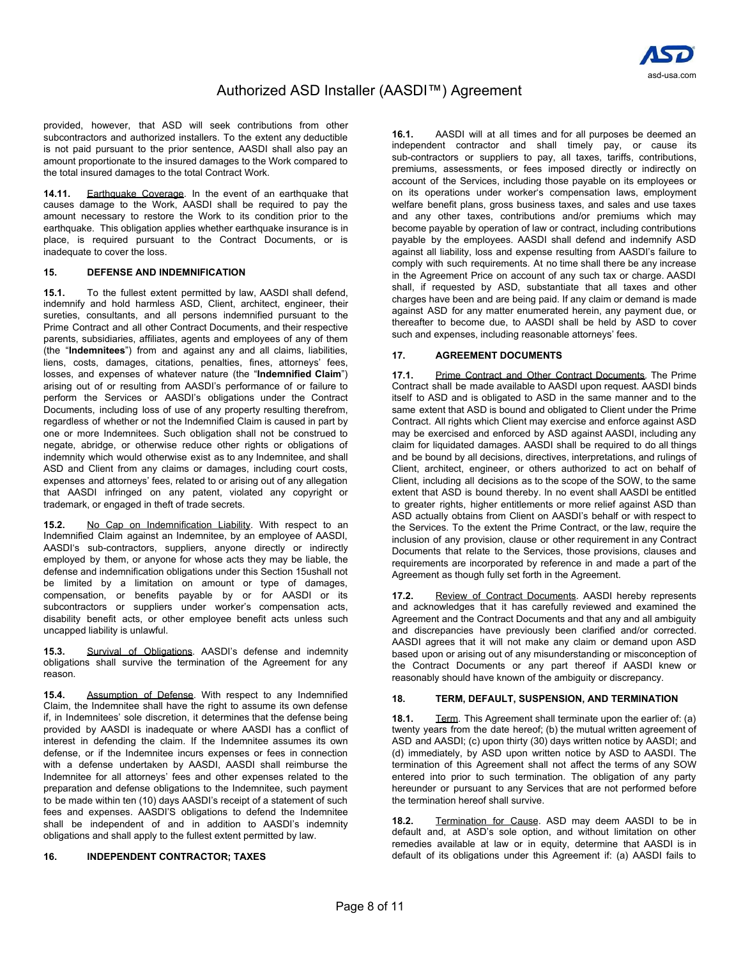

provided, however, that ASD will seek contributions from other subcontractors and authorized installers. To the extent any deductible is not paid pursuant to the prior sentence, AASDI shall also pay an amount proportionate to the insured damages to the Work compared to the total insured damages to the total Contract Work.

**14.11.** Earthquake Coverage. In the event of an earthquake that causes damage to the Work, AASDI shall be required to pay the amount necessary to restore the Work to its condition prior to the earthquake. This obligation applies whether earthquake insurance is in place, is required pursuant to the Contract Documents, or is inadequate to cover the loss.

## **15. DEFENSE AND INDEMNIFICATION**

**15.1.** To the fullest extent permitted by law, AASDI shall defend, indemnify and hold harmless ASD, Client, architect, engineer, their sureties, consultants, and all persons indemnified pursuant to the Prime Contract and all other Contract Documents, and their respective parents, subsidiaries, affiliates, agents and employees of any of them (the "**Indemnitees**") from and against any and all claims, liabilities, liens, costs, damages, citations, penalties, fines, attorneys' fees, losses, and expenses of whatever nature (the "**Indemnified Claim**") arising out of or resulting from AASDI's performance of or failure to perform the Services or AASDI's obligations under the Contract Documents, including loss of use of any property resulting therefrom, regardless of whether or not the Indemnified Claim is caused in part by one or more Indemnitees. Such obligation shall not be construed to negate, abridge, or otherwise reduce other rights or obligations of indemnity which would otherwise exist as to any Indemnitee, and shall ASD and Client from any claims or damages, including court costs, expenses and attorneys' fees, related to or arising out of any allegation that AASDI infringed on any patent, violated any copyright or trademark, or engaged in theft of trade secrets.

**15.2.** No Cap on Indemnification Liability. With respect to an Indemnified Claim against an Indemnitee, by an employee of AASDI, AASDI's sub-contractors, suppliers, anyone directly or indirectly employed by them, or anyone for whose acts they may be liable, the defense and indemnification obligations under this Section 15ushall not be limited by a limitation on amount or type of damages, compensation, or benefits payable by or for AASDI or its subcontractors or suppliers under worker's compensation acts, disability benefit acts, or other employee benefit acts unless such uncapped liability is unlawful.

**15.3.** Survival of Obligations. AASDI's defense and indemnity obligations shall survive the termination of the Agreement for any reason.

**15.4.** Assumption of Defense. With respect to any Indemnified Claim, the Indemnitee shall have the right to assume its own defense if, in Indemnitees' sole discretion, it determines that the defense being provided by AASDI is inadequate or where AASDI has a conflict of interest in defending the claim. If the Indemnitee assumes its own defense, or if the Indemnitee incurs expenses or fees in connection with a defense undertaken by AASDI, AASDI shall reimburse the Indemnitee for all attorneys' fees and other expenses related to the preparation and defense obligations to the Indemnitee, such payment to be made within ten (10) days AASDI's receipt of a statement of such fees and expenses. AASDI'S obligations to defend the Indemnitee shall be independent of and in addition to AASDI's indemnity obligations and shall apply to the fullest extent permitted by law.

#### **16. INDEPENDENT CONTRACTOR; TAXES**

**16.1.** AASDI will at all times and for all purposes be deemed an independent contractor and shall timely pay, or cause its sub-contractors or suppliers to pay, all taxes, tariffs, contributions, premiums, assessments, or fees imposed directly or indirectly on account of the Services, including those payable on its employees or on its operations under worker's compensation laws, employment welfare benefit plans, gross business taxes, and sales and use taxes and any other taxes, contributions and/or premiums which may become payable by operation of law or contract, including contributions payable by the employees. AASDI shall defend and indemnify ASD against all liability, loss and expense resulting from AASDI's failure to comply with such requirements. At no time shall there be any increase in the Agreement Price on account of any such tax or charge. AASDI shall, if requested by ASD, substantiate that all taxes and other charges have been and are being paid. If any claim or demand is made against ASD for any matter enumerated herein, any payment due, or thereafter to become due, to AASDI shall be held by ASD to cover such and expenses, including reasonable attorneys' fees.

### **17. AGREEMENT DOCUMENTS**

**17.1.** Prime Contract and Other Contract Documents. The Prime Contract shall be made available to AASDI upon request. AASDI binds itself to ASD and is obligated to ASD in the same manner and to the same extent that ASD is bound and obligated to Client under the Prime Contract. All rights which Client may exercise and enforce against ASD may be exercised and enforced by ASD against AASDI, including any claim for liquidated damages. AASDI shall be required to do all things and be bound by all decisions, directives, interpretations, and rulings of Client, architect, engineer, or others authorized to act on behalf of Client, including all decisions as to the scope of the SOW, to the same extent that ASD is bound thereby. ln no event shall AASDI be entitled to greater rights, higher entitlements or more relief against ASD than ASD actually obtains from Client on AASDI's behalf or with respect to the Services. To the extent the Prime Contract, or the law, require the inclusion of any provision, clause or other requirement in any Contract Documents that relate to the Services, those provisions, clauses and requirements are incorporated by reference in and made a part of the Agreement as though fully set forth in the Agreement.

**17.2.** Review of Contract Documents. AASDI hereby represents and acknowledges that it has carefully reviewed and examined the Agreement and the Contract Documents and that any and all ambiguity and discrepancies have previously been clarified and/or corrected. AASDI agrees that it will not make any claim or demand upon ASD based upon or arising out of any misunderstanding or misconception of the Contract Documents or any part thereof if AASDI knew or reasonably should have known of the ambiguity or discrepancy.

## **18. TERM, DEFAULT, SUSPENSION, AND TERMINATION**

**18.1.** Term. This Agreement shall terminate upon the earlier of: (a) twenty years from the date hereof; (b) the mutual written agreement of ASD and AASDI; (c) upon thirty (30) days written notice by AASDI; and (d) immediately, by ASD upon written notice by ASD to AASDI. The termination of this Agreement shall not affect the terms of any SOW entered into prior to such termination. The obligation of any party hereunder or pursuant to any Services that are not performed before the termination hereof shall survive.

**18.2.** Termination for Cause. ASD may deem AASDI to be in default and, at ASD's sole option, and without limitation on other remedies available at law or in equity, determine that AASDI is in default of its obligations under this Agreement if: (a) AASDI fails to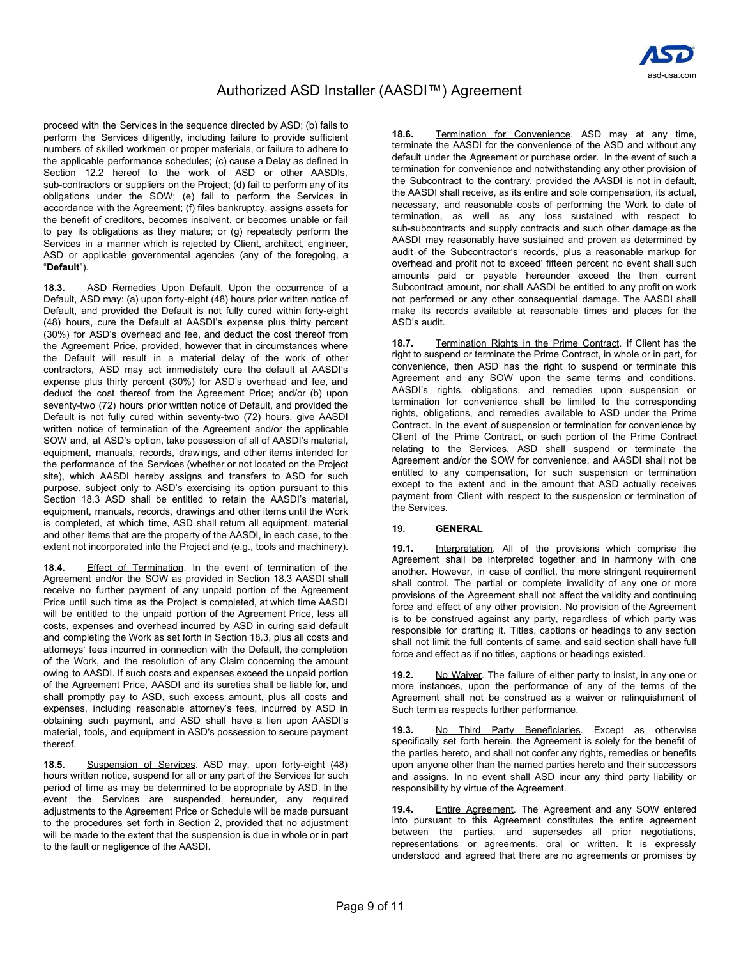

proceed with the Services in the sequence directed by ASD; (b) fails to perform the Services diligently, including failure to provide sufficient numbers of skilled workmen or proper materials, or failure to adhere to the applicable performance schedules; (c) cause a Delay as defined in Section 12.2 hereof to the work of ASD or other AASDIs, sub-contractors or suppliers on the Project; (d) fail to perform any of its obligations under the SOW; (e) fail to perform the Services in accordance with the Agreement; (f) files bankruptcy, assigns assets for the benefit of creditors, becomes insolvent, or becomes unable or fail to pay its obligations as they mature; or (g) repeatedly perform the Services in a manner which is rejected by Client, architect, engineer, ASD or applicable governmental agencies (any of the foregoing, a "**Default**").

**18.3.** ASD Remedies Upon Default. Upon the occurrence of a Default, ASD may: (a) upon forty-eight (48) hours prior written notice of Default, and provided the Default is not fully cured within forty-eight (48) hours, cure the Default at AASDI's expense plus thirty percent (30%) for ASD's overhead and fee, and deduct the cost thereof from the Agreement Price, provided, however that in circumstances where the Default will result in a material delay of the work of other contractors, ASD may act immediately cure the default at AASDI's expense plus thirty percent (30%) for ASD's overhead and fee, and deduct the cost thereof from the Agreement Price; and/or (b) upon seventy-two (72) hours prior written notice of Default, and provided the Default is not fully cured within seventy-two (72) hours, give AASDI written notice of termination of the Agreement and/or the applicable SOW and, at ASD's option, take possession of all of AASDI's material, equipment, manuals, records, drawings, and other items intended for the performance of the Services (whether or not located on the Project site), which AASDI hereby assigns and transfers to ASD for such purpose, subject only to ASD's exercising its option pursuant to this Section 18.3 ASD shall be entitled to retain the AASDI's material, equipment, manuals, records, drawings and other items until the Work is completed, at which time, ASD shall return all equipment, material and other items that are the property of the AASDI, in each case, to the extent not incorporated into the Project and (e.g., tools and machinery).

**18.4.** Effect of Termination. In the event of termination of the Agreement and/or the SOW as provided in Section 18.3 AASDI shall receive no further payment of any unpaid portion of the Agreement Price until such time as the Project is completed, at which time AASDI will be entitled to the unpaid portion of the Agreement Price, less all costs, expenses and overhead incurred by ASD in curing said default and completing the Work as set forth in Section 18.3, plus all costs and attorneys' fees incurred in connection with the Default, the completion of the Work, and the resolution of any Claim concerning the amount owing to AASDI. If such costs and expenses exceed the unpaid portion of the Agreement Price, AASDI and its sureties shall be liable for, and shall promptly pay to ASD, such excess amount, plus all costs and expenses, including reasonable attorney's fees, incurred by ASD in obtaining such payment, and ASD shall have a lien upon AASDI's material, tools, and equipment in ASD's possession to secure payment thereof.

**18.5.** Suspension of Services. ASD may, upon forty-eight (48) hours written notice, suspend for all or any part of the Services for such period of time as may be determined to be appropriate by ASD. In the event the Services are suspended hereunder, any required adjustments to the Agreement Price or Schedule will be made pursuant to the procedures set forth in Section 2, provided that no adjustment will be made to the extent that the suspension is due in whole or in part to the fault or negligence of the AASDI.

**18.6.** Termination for Convenience. ASD may at any time, terminate the AASDI for the convenience of the ASD and without any default under the Agreement or purchase order. In the event of such a termination for convenience and notwithstanding any other provision of the Subcontract to the contrary, provided the AASDI is not in default, the AASDI shall receive, as its entire and sole compensation, its actual, necessary, and reasonable costs of performing the Work to date of termination, as well as any loss sustained with respect to sub-subcontracts and supply contracts and such other damage as the AASDI may reasonably have sustained and proven as determined by audit of the Subcontractor's records, plus a reasonable markup for overhead and profit not to exceed' fifteen percent no event shall such amounts paid or payable hereunder exceed the then current Subcontract amount, nor shall AASDI be entitled to any profit on work not performed or any other consequential damage. The AASDI shall make its records available at reasonable times and places for the ASD's audit.

**18.7.** Termination Rights in the Prime Contract. If Client has the right to suspend or terminate the Prime Contract, in whole or in part, for convenience, then ASD has the right to suspend or terminate this Agreement and any SOW upon the same terms and conditions. AASDI's rights, obligations, and remedies upon suspension or termination for convenience shall be limited to the corresponding rights, obligations, and remedies available to ASD under the Prime Contract. In the event of suspension or termination for convenience by Client of the Prime Contract, or such portion of the Prime Contract relating to the Services, ASD shall suspend or terminate the Agreement and/or the SOW for convenience, and AASDI shall not be entitled to any compensation, for such suspension or termination except to the extent and in the amount that ASD actually receives payment from Client with respect to the suspension or termination of the Services.

### **19. GENERAL**

**19.1.** Interpretation. All of the provisions which comprise the Agreement shall be interpreted together and in harmony with one another. However, in case of conflict, the more stringent requirement shall control. The partial or complete invalidity of any one or more provisions of the Agreement shall not affect the validity and continuing force and effect of any other provision. No provision of the Agreement is to be construed against any party, regardless of which party was responsible for drafting it. Titles, captions or headings to any section shall not limit the full contents of same, and said section shall have full force and effect as if no titles, captions or headings existed.

**19.2.** No Waiver. The failure of either party to insist, in any one or more instances, upon the performance of any of the terms of the Agreement shall not be construed as a waiver or relinquishment of Such term as respects further performance.

**19.3.** No Third Party Beneficiaries. Except as otherwise specifically set forth herein, the Agreement is solely for the benefit of the parties hereto, and shall not confer any rights, remedies or benefits upon anyone other than the named parties hereto and their successors and assigns. In no event shall ASD incur any third party liability or responsibility by virtue of the Agreement.

**19.4.** Entire Agreement. The Agreement and any SOW entered into pursuant to this Agreement constitutes the entire agreement between the parties, and supersedes all prior negotiations, representations or agreements, oral or written. It is expressly understood and agreed that there are no agreements or promises by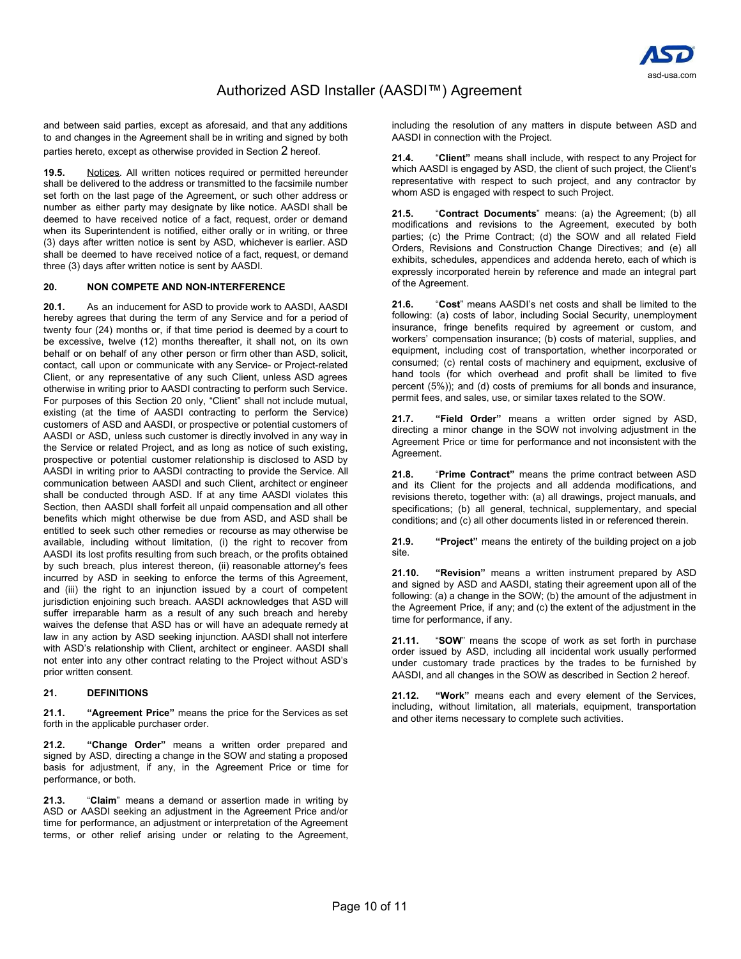

and between said parties, except as aforesaid, and that any additions to and changes in the Agreement shall be in writing and signed by both parties hereto, except as otherwise provided in Section 2 hereof.

**19.5.** Notices. All written notices required or permitted hereunder shall be delivered to the address or transmitted to the facsimile number set forth on the last page of the Agreement, or such other address or number as either party may designate by like notice. AASDI shall be deemed to have received notice of a fact, request, order or demand when its Superintendent is notified, either orally or in writing, or three (3) days after written notice is sent by ASD, whichever is earlier. ASD shall be deemed to have received notice of a fact, request, or demand three (3) days after written notice is sent by AASDI.

### **20. NON COMPETE AND NON-INTERFERENCE**

**20.1.** As an inducement for ASD to provide work to AASDI, AASDI hereby agrees that during the term of any Service and for a period of twenty four (24) months or, if that time period is deemed by a court to be excessive, twelve (12) months thereafter, it shall not, on its own behalf or on behalf of any other person or firm other than ASD, solicit, contact, call upon or communicate with any Service- or Project-related Client, or any representative of any such Client, unless ASD agrees otherwise in writing prior to AASDI contracting to perform such Service. For purposes of this Section 20 only, "Client" shall not include mutual, existing (at the time of AASDI contracting to perform the Service) customers of ASD and AASDI, or prospective or potential customers of AASDI or ASD, unless such customer is directly involved in any way in the Service or related Project, and as long as notice of such existing, prospective or potential customer relationship is disclosed to ASD by AASDI in writing prior to AASDI contracting to provide the Service. All communication between AASDI and such Client, architect or engineer shall be conducted through ASD. If at any time AASDI violates this Section, then AASDI shall forfeit all unpaid compensation and all other benefits which might otherwise be due from ASD, and ASD shall be entitled to seek such other remedies or recourse as may otherwise be available, including without limitation, (i) the right to recover from AASDI its lost profits resulting from such breach, or the profits obtained by such breach, plus interest thereon, (ii) reasonable attorney's fees incurred by ASD in seeking to enforce the terms of this Agreement, and (iii) the right to an injunction issued by a court of competent jurisdiction enjoining such breach. AASDI acknowledges that ASD will suffer irreparable harm as a result of any such breach and hereby waives the defense that ASD has or will have an adequate remedy at law in any action by ASD seeking injunction. AASDI shall not interfere with ASD's relationship with Client, architect or engineer. AASDI shall not enter into any other contract relating to the Project without ASD's prior written consent.

### **21. DEFINITIONS**

**21.1. "Agreement Price"** means the price for the Services as set forth in the applicable purchaser order.

**21.2. "Change Order"** means a written order prepared and signed by ASD, directing a change in the SOW and stating a proposed basis for adjustment, if any, in the Agreement Price or time for performance, or both.

**21.3.** "**Claim**" means a demand or assertion made in writing by ASD or AASDI seeking an adjustment in the Agreement Price and/or time for performance, an adjustment or interpretation of the Agreement terms, or other relief arising under or relating to the Agreement,

including the resolution of any matters in dispute between ASD and AASDI in connection with the Project.

**21.4.** "**Client"** means shall include, with respect to any Project for which AASDI is engaged by ASD, the client of such project, the Client's representative with respect to such project, and any contractor by whom ASD is engaged with respect to such Project.

**21.5.** "**Contract Documents**" means: (a) the Agreement; (b) all modifications and revisions to the Agreement, executed by both parties; (c) the Prime Contract; (d) the SOW and all related Field Orders, Revisions and Construction Change Directives; and (e) all exhibits, schedules, appendices and addenda hereto, each of which is expressly incorporated herein by reference and made an integral part of the Agreement.

**21.6.** "**Cost**" means AASDI's net costs and shall be limited to the following: (a) costs of labor, including Social Security, unemployment insurance, fringe benefits required by agreement or custom, and workers' compensation insurance; (b) costs of material, supplies, and equipment, including cost of transportation, whether incorporated or consumed; (c) rental costs of machinery and equipment, exclusive of hand tools (for which overhead and profit shall be limited to five percent (5%)); and (d) costs of premiums for all bonds and insurance, permit fees, and sales, use, or similar taxes related to the SOW.

**21.7. "Field Order"** means a written order signed by ASD, directing a minor change in the SOW not involving adjustment in the Agreement Price or time for performance and not inconsistent with the Agreement.

**21.8.** "**Prime Contract"** means the prime contract between ASD and its Client for the projects and all addenda modifications, and revisions thereto, together with: (a) all drawings, project manuals, and specifications: (b) all general, technical, supplementary, and special conditions; and (c) all other documents listed in or referenced therein.

**21.9. "Project"** means the entirety of the building project on a job site.

**21.10. "Revision"** means a written instrument prepared by ASD and signed by ASD and AASDI, stating their agreement upon all of the following: (a) a change in the SOW; (b) the amount of the adjustment in the Agreement Price, if any; and (c) the extent of the adjustment in the time for performance, if any.

**21.11.** "**SOW**" means the scope of work as set forth in purchase order issued by ASD, including all incidental work usually performed under customary trade practices by the trades to be furnished by AASDI, and all changes in the SOW as described in Section 2 hereof.

**21.12. "Work"** means each and every element of the Services, including, without limitation, all materials, equipment, transportation and other items necessary to complete such activities.